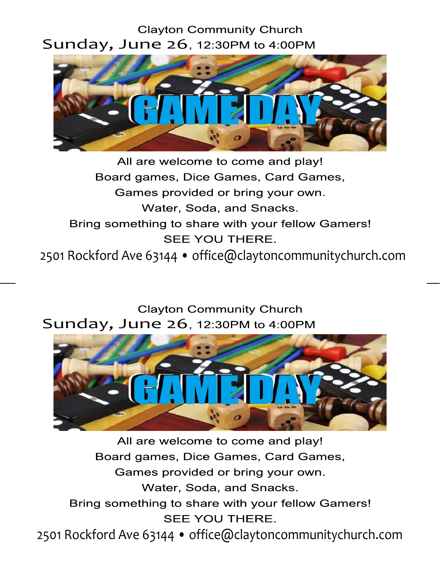## Clayton Community Church<br>Sunday, June 26, 12:30PM to 4:00PM



All are welcome to come and play! Board games, Dice Games, Card Games, Games provided or bring your own. Water, Soda, and Snacks. Bring something to share with your fellow Gamers! **SEE YOU THERE.** 2501 Rockford Ave 63144 • office@claytoncommunitychurch.com

Clayton Community Church<br>Sunday, June 26, 12:30PM to 4:00PM



All are welcome to come and play! Board games, Dice Games, Card Games, Games provided or bring your own. Water, Soda, and Snacks. Bring something to share with your fellow Gamers! SEE YOU THERE. 2501 Rockford Ave 63144 • office@claytoncommunitychurch.com